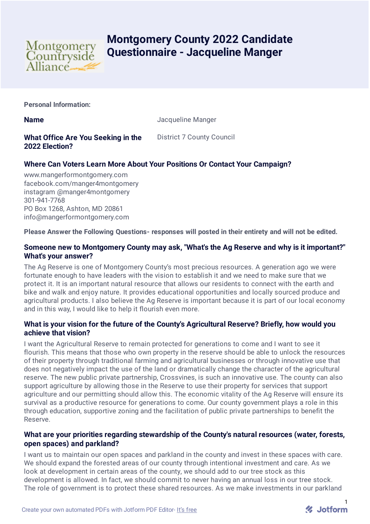

# **Montgomery County 2022 Candidate Questionnaire - Jacqueline Manger**

**Personal Information:**

**Name** Jacqueline Manger

# **What Office Are You Seeking in the 2022 Election?**

District 7 County Council

## **Where Can Voters Learn More About Your Positions Or Contact Your Campaign?**

www.mangerformontgomery.com facebook.com/manger4montgomery instagram @manger4montgomery 301-941-7768 PO Box 1268, Ashton, MD 20861 info@mangerformontgomery.com

**Please Answer the Following Questions- responses will posted in their entirety and will not be edited.**

## **Someone new to Montgomery County may ask, "What's the Ag Reserve and why is it important?" What's your answer?**

The Ag Reserve is one of Montgomery County's most precious resources. A generation ago we were fortunate enough to have leaders with the vision to establish it and we need to make sure that we protect it. It is an important natural resource that allows our residents to connect with the earth and bike and walk and enjoy nature. It provides educational opportunities and locally sourced produce and agricultural products. I also believe the Ag Reserve is important because it is part of our local economy and in this way, I would like to help it flourish even more.

## **What is your vision for the future of the County's Agricultural Reserve? Briefly, how would you achieve that vision?**

I want the Agricultural Reserve to remain protected for generations to come and I want to see it flourish. This means that those who own property in the reserve should be able to unlock the resources of their property through traditional farming and agricultural businesses or through innovative use that does not negatively impact the use of the land or dramatically change the character of the agricultural reserve. The new public private partnership, Crossvines, is such an innovative use. The county can also support agriculture by allowing those in the Reserve to use their property for services that support agriculture and our permitting should allow this. The economic vitality of the Ag Reserve will ensure its survival as a productive resource for generations to come. Our county government plays a role in this through education, supportive zoning and the facilitation of public private partnerships to benefit the Reserve.

## **What are your priorities regarding stewardship of the County's natural resources (water, forests, open spaces) and parkland?**

I want us to maintain our open spaces and parkland in the county and invest in these spaces with care. We should expand the forested areas of our county through intentional investment and care. As we look at development in certain areas of the county, we should add to our tree stock as this development is allowed. In fact, we should commit to never having an annual loss in our tree stock. The role of government is to protect these shared resources. As we make investments in our parkland

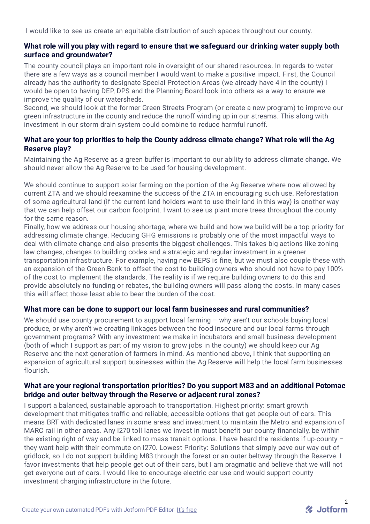I would like to see us create an equitable distribution of such spaces throughout our county.

#### **What role will you play with regard to ensure that we safeguard our drinking water supply both surface and groundwater?**

The county council plays an important role in oversight of our shared resources. In regards to water there are a few ways as a council member I would want to make a positive impact. First, the Council already has the authority to designate Special Protection Areas (we already have 4 in the county) I would be open to having DEP, DPS and the Planning Board look into others as a way to ensure we improve the quality of our watersheds.

Second, we should look at the former Green Streets Program (or create a new program) to improve our green infrastructure in the county and reduce the runoff winding up in our streams. This along with investment in our storm drain system could combine to reduce harmful runoff.

## **What are your top priorities to help the County address climate change? What role will the Ag Reserve play?**

Maintaining the Ag Reserve as a green buffer is important to our ability to address climate change. We should never allow the Ag Reserve to be used for housing development.

We should continue to support solar farming on the portion of the Ag Reserve where now allowed by current ZTA and we should reexamine the success of the ZTA in encouraging such use. Reforestation of some agricultural land (if the current land holders want to use their land in this way) is another way that we can help offset our carbon footprint. I want to see us plant more trees throughout the county for the same reason.

Finally, how we address our housing shortage, where we build and how we build will be a top priority for addressing climate change. Reducing GHG emissions is probably one of the most impactful ways to deal with climate change and also presents the biggest challenges. This takes big actions like zoning law changes, changes to building codes and a strategic and regular investment in a greener transportation infrastructure. For example, having new BEPS is fine, but we must also couple these with an expansion of the Green Bank to offset the cost to building owners who should not have to pay 100% of the cost to implement the standards. The reality is if we require building owners to do this and provide absolutely no funding or rebates, the building owners will pass along the costs. In many cases this will affect those least able to bear the burden of the cost.

## **What more can be done to support our local farm businesses and rural communities?**

We should use county procurement to support local farming – why aren't our schools buying local produce, or why aren't we creating linkages between the food insecure and our local farms through government programs? With any investment we make in incubators and small business development (both of which I support as part of my vision to grow jobs in the county) we should keep our Ag Reserve and the next generation of farmers in mind. As mentioned above, I think that supporting an expansion of agricultural support businesses within the Ag Reserve will help the local farm businesses flourish.

#### **What are your regional transportation priorities? Do you support M83 and an additional Potomac bridge and outer beltway through the Reserve or adjacent rural zones?**

I support a balanced, sustainable approach to transportation. Highest priority: smart growth development that mitigates traffic and reliable, accessible options that get people out of cars. This means BRT with dedicated lanes in some areas and investment to maintain the Metro and expansion of MARC rail in other areas. Any I270 toll lanes we invest in must benefit our county financially, be within the existing right of way and be linked to mass transit options. I have heard the residents if up-county – they want help with their commute on I270. Lowest Priority: Solutions that simply pave our way out of gridlock, so I do not support building M83 through the forest or an outer beltway through the Reserve. I favor investments that help people get out of their cars, but I am pragmatic and believe that we will not get everyone out of cars. I would like to encourage electric car use and would support county investment charging infrastructure in the future.